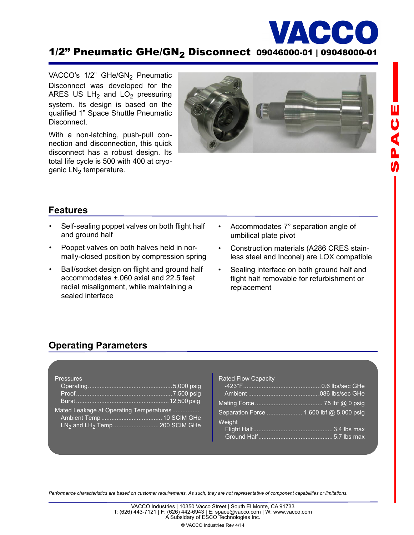

**山りくんの** 

# $1/2$ " Pneumatic GHe/GN<sub>2</sub> Disconnect 09046000-01 | 09048000-01

VACCO's  $1/2$ " GHe/GN<sub>2</sub> Pneumatic Disconnect was developed for the ARES US  $LH_2$  and  $LO_2$  pressuring system. Its design is based on the qualified 1" Space Shuttle Pneumatic Disconnect.

With a non-latching, push-pull connection and disconnection, this quick disconnect has a robust design. Its total life cycle is 500 with 400 at cryogenic  $LN<sub>2</sub>$  temperature.



### **Features**

- Self-sealing poppet valves on both flight half and ground half
- Poppet valves on both halves held in normally-closed position by compression spring
- Ball/socket design on flight and ground half accommodates ±.060 axial and 22.5 feet radial misalignment, while maintaining a sealed interface
- Accommodates 7° separation angle of umbilical plate pivot
- Construction materials (A286 CRES stainless steel and Inconel) are LOX compatible
- Sealing interface on both ground half and flight half removable for refurbishment or replacement

### **Operating Parameters**

| <b>Pressures</b>                        |  |
|-----------------------------------------|--|
|                                         |  |
|                                         |  |
|                                         |  |
| Mated Leakage at Operating Temperatures |  |
|                                         |  |
|                                         |  |
|                                         |  |

| <b>Rated Flow Capacity</b>               |  |
|------------------------------------------|--|
|                                          |  |
|                                          |  |
| Separation Force  1,600 lbf @ 5,000 psig |  |
| Weight                                   |  |
|                                          |  |
|                                          |  |
|                                          |  |

*Performance characteristics are based on customer requirements. As such, they are not representative of component capabilities or limitations.*